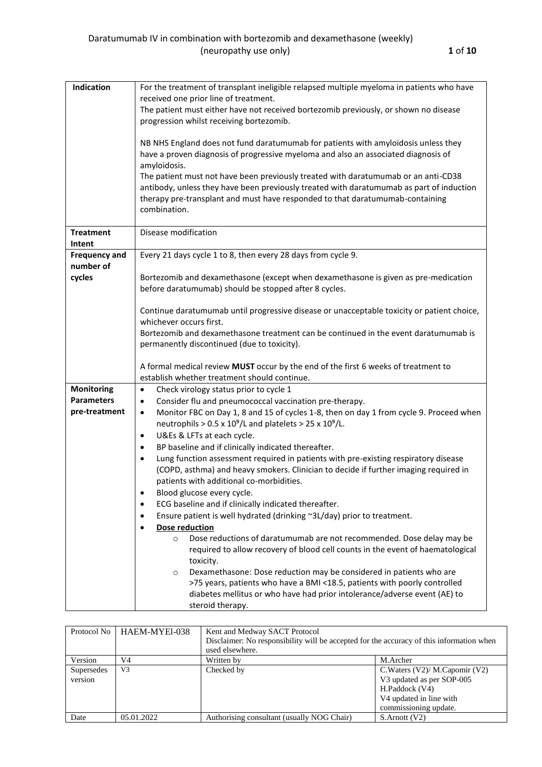| Indication           | For the treatment of transplant ineligible relapsed multiple myeloma in patients who have           |  |  |  |  |  |  |
|----------------------|-----------------------------------------------------------------------------------------------------|--|--|--|--|--|--|
|                      | received one prior line of treatment.                                                               |  |  |  |  |  |  |
|                      | The patient must either have not received bortezomib previously, or shown no disease                |  |  |  |  |  |  |
|                      | progression whilst receiving bortezomib.                                                            |  |  |  |  |  |  |
|                      | NB NHS England does not fund daratumumab for patients with amyloidosis unless they                  |  |  |  |  |  |  |
|                      | have a proven diagnosis of progressive myeloma and also an associated diagnosis of                  |  |  |  |  |  |  |
|                      | amyloidosis.                                                                                        |  |  |  |  |  |  |
|                      | The patient must not have been previously treated with daratumumab or an anti-CD38                  |  |  |  |  |  |  |
|                      | antibody, unless they have been previously treated with daratumumab as part of induction            |  |  |  |  |  |  |
|                      | therapy pre-transplant and must have responded to that daratumumab-containing                       |  |  |  |  |  |  |
|                      | combination.                                                                                        |  |  |  |  |  |  |
|                      |                                                                                                     |  |  |  |  |  |  |
| <b>Treatment</b>     | Disease modification                                                                                |  |  |  |  |  |  |
| Intent               |                                                                                                     |  |  |  |  |  |  |
| <b>Frequency and</b> | Every 21 days cycle 1 to 8, then every 28 days from cycle 9.                                        |  |  |  |  |  |  |
| number of            |                                                                                                     |  |  |  |  |  |  |
| cycles               | Bortezomib and dexamethasone (except when dexamethasone is given as pre-medication                  |  |  |  |  |  |  |
|                      | before daratumumab) should be stopped after 8 cycles.                                               |  |  |  |  |  |  |
|                      |                                                                                                     |  |  |  |  |  |  |
|                      | Continue daratumumab until progressive disease or unacceptable toxicity or patient choice,          |  |  |  |  |  |  |
|                      | whichever occurs first.                                                                             |  |  |  |  |  |  |
|                      | Bortezomib and dexamethasone treatment can be continued in the event daratumumab is                 |  |  |  |  |  |  |
|                      | permanently discontinued (due to toxicity).                                                         |  |  |  |  |  |  |
|                      |                                                                                                     |  |  |  |  |  |  |
|                      | A formal medical review MUST occur by the end of the first 6 weeks of treatment to                  |  |  |  |  |  |  |
|                      | establish whether treatment should continue.                                                        |  |  |  |  |  |  |
| <b>Monitoring</b>    | Check virology status prior to cycle 1<br>$\bullet$                                                 |  |  |  |  |  |  |
| <b>Parameters</b>    | Consider flu and pneumococcal vaccination pre-therapy.<br>$\bullet$                                 |  |  |  |  |  |  |
| pre-treatment        | Monitor FBC on Day 1, 8 and 15 of cycles 1-8, then on day 1 from cycle 9. Proceed when<br>$\bullet$ |  |  |  |  |  |  |
|                      | neutrophils > $0.5 \times 10^9$ /L and platelets > $25 \times 10^9$ /L.                             |  |  |  |  |  |  |
|                      | U&Es & LFTs at each cycle.<br>$\bullet$                                                             |  |  |  |  |  |  |
|                      | BP baseline and if clinically indicated thereafter.                                                 |  |  |  |  |  |  |
|                      | Lung function assessment required in patients with pre-existing respiratory disease<br>$\bullet$    |  |  |  |  |  |  |
|                      | (COPD, asthma) and heavy smokers. Clinician to decide if further imaging required in                |  |  |  |  |  |  |
|                      | patients with additional co-morbidities.                                                            |  |  |  |  |  |  |
|                      | Blood glucose every cycle.<br>٠                                                                     |  |  |  |  |  |  |
|                      | ECG baseline and if clinically indicated thereafter.                                                |  |  |  |  |  |  |
|                      | Ensure patient is well hydrated (drinking ~3L/day) prior to treatment.<br>٠                         |  |  |  |  |  |  |
|                      | Dose reduction                                                                                      |  |  |  |  |  |  |
|                      | Dose reductions of daratumumab are not recommended. Dose delay may be<br>$\circ$                    |  |  |  |  |  |  |
|                      | required to allow recovery of blood cell counts in the event of haematological                      |  |  |  |  |  |  |
|                      | toxicity.                                                                                           |  |  |  |  |  |  |
|                      | Dexamethasone: Dose reduction may be considered in patients who are<br>$\circ$                      |  |  |  |  |  |  |
|                      | >75 years, patients who have a BMI <18.5, patients with poorly controlled                           |  |  |  |  |  |  |
|                      | diabetes mellitus or who have had prior intolerance/adverse event (AE) to                           |  |  |  |  |  |  |
|                      |                                                                                                     |  |  |  |  |  |  |
|                      | steroid therapy.                                                                                    |  |  |  |  |  |  |

| Protocol No           | HAEM-MYEI-038  | Kent and Medway SACT Protocol<br>Disclaimer: No responsibility will be accepted for the accuracy of this information when<br>used elsewhere. |                                                                                                                                         |  |  |  |
|-----------------------|----------------|----------------------------------------------------------------------------------------------------------------------------------------------|-----------------------------------------------------------------------------------------------------------------------------------------|--|--|--|
| Version               | V4             | Written by                                                                                                                                   | M.Archer                                                                                                                                |  |  |  |
| Supersedes<br>version | V <sub>3</sub> | Checked by                                                                                                                                   | C. Waters $(V2)$ / M. Capomir $(V2)$<br>V3 updated as per SOP-005<br>H.Paddock (V4)<br>V4 updated in line with<br>commissioning update. |  |  |  |
| Date                  | 05.01.2022     | Authorising consultant (usually NOG Chair)                                                                                                   | S.Arnott (V2)                                                                                                                           |  |  |  |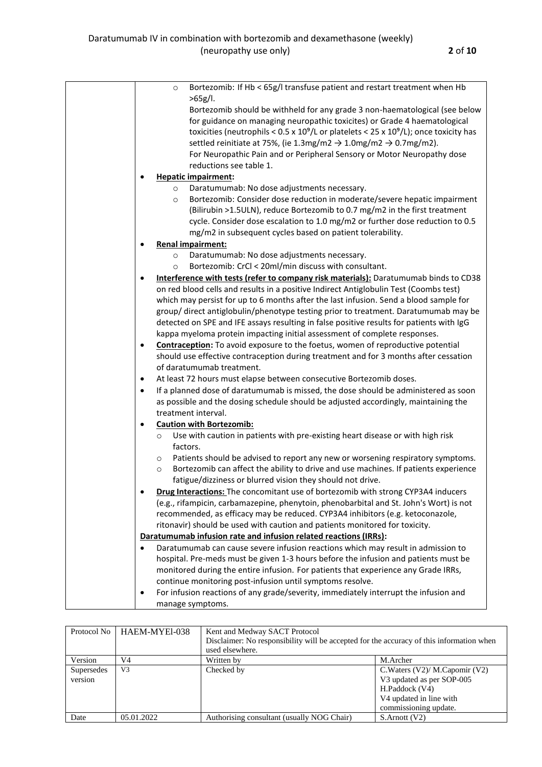|  | Bortezomib: If Hb < 65g/I transfuse patient and restart treatment when Hb<br>$\circ$<br>>65g/l.                                                                                                                                                                                                                                                                                                                                                                                                                                                    |
|--|----------------------------------------------------------------------------------------------------------------------------------------------------------------------------------------------------------------------------------------------------------------------------------------------------------------------------------------------------------------------------------------------------------------------------------------------------------------------------------------------------------------------------------------------------|
|  | Bortezomib should be withheld for any grade 3 non-haematological (see below<br>for guidance on managing neuropathic toxicites) or Grade 4 haematological<br>toxicities (neutrophils < $0.5 \times 10^9$ /L or platelets < $25 \times 10^9$ /L); once toxicity has<br>settled reinitiate at 75%, (ie 1.3mg/m2 $\rightarrow$ 1.0mg/m2 $\rightarrow$ 0.7mg/m2).<br>For Neuropathic Pain and or Peripheral Sensory or Motor Neuropathy dose<br>reductions see table 1.                                                                                 |
|  | <b>Hepatic impairment:</b>                                                                                                                                                                                                                                                                                                                                                                                                                                                                                                                         |
|  | Daratumumab: No dose adjustments necessary.<br>$\circ$<br>Bortezomib: Consider dose reduction in moderate/severe hepatic impairment<br>$\circ$<br>(Bilirubin >1.5ULN), reduce Bortezomib to 0.7 mg/m2 in the first treatment<br>cycle. Consider dose escalation to 1.0 mg/m2 or further dose reduction to 0.5<br>mg/m2 in subsequent cycles based on patient tolerability.                                                                                                                                                                         |
|  | <b>Renal impairment:</b>                                                                                                                                                                                                                                                                                                                                                                                                                                                                                                                           |
|  | Daratumumab: No dose adjustments necessary.<br>$\circ$                                                                                                                                                                                                                                                                                                                                                                                                                                                                                             |
|  | Bortezomib: CrCl < 20ml/min discuss with consultant.<br>$\circ$                                                                                                                                                                                                                                                                                                                                                                                                                                                                                    |
|  | Interference with tests (refer to company risk materials): Daratumumab binds to CD38<br>$\bullet$<br>on red blood cells and results in a positive Indirect Antiglobulin Test (Coombs test)<br>which may persist for up to 6 months after the last infusion. Send a blood sample for<br>group/direct antiglobulin/phenotype testing prior to treatment. Daratumumab may be<br>detected on SPE and IFE assays resulting in false positive results for patients with IgG<br>kappa myeloma protein impacting initial assessment of complete responses. |
|  | <b>Contraception:</b> To avoid exposure to the foetus, women of reproductive potential<br>$\bullet$                                                                                                                                                                                                                                                                                                                                                                                                                                                |
|  | should use effective contraception during treatment and for 3 months after cessation<br>of daratumumab treatment.                                                                                                                                                                                                                                                                                                                                                                                                                                  |
|  | At least 72 hours must elapse between consecutive Bortezomib doses.<br>$\bullet$                                                                                                                                                                                                                                                                                                                                                                                                                                                                   |
|  | If a planned dose of daratumumab is missed, the dose should be administered as soon<br>$\bullet$<br>as possible and the dosing schedule should be adjusted accordingly, maintaining the<br>treatment interval.                                                                                                                                                                                                                                                                                                                                     |
|  | <b>Caution with Bortezomib:</b><br>$\bullet$                                                                                                                                                                                                                                                                                                                                                                                                                                                                                                       |
|  | Use with caution in patients with pre-existing heart disease or with high risk<br>$\circ$                                                                                                                                                                                                                                                                                                                                                                                                                                                          |
|  | factors.<br>Patients should be advised to report any new or worsening respiratory symptoms.<br>$\circ$<br>Bortezomib can affect the ability to drive and use machines. If patients experience<br>$\circ$<br>fatigue/dizziness or blurred vision they should not drive.                                                                                                                                                                                                                                                                             |
|  | Drug Interactions: The concomitant use of bortezomib with strong CYP3A4 inducers<br>(e.g., rifampicin, carbamazepine, phenytoin, phenobarbital and St. John's Wort) is not<br>recommended, as efficacy may be reduced. CYP3A4 inhibitors (e.g. ketoconazole,<br>ritonavir) should be used with caution and patients monitored for toxicity.                                                                                                                                                                                                        |
|  | Daratumumab infusion rate and infusion related reactions (IRRs):                                                                                                                                                                                                                                                                                                                                                                                                                                                                                   |
|  | Daratumumab can cause severe infusion reactions which may result in admission to<br>$\bullet$<br>hospital. Pre-meds must be given 1-3 hours before the infusion and patients must be<br>monitored during the entire infusion. For patients that experience any Grade IRRs,<br>continue monitoring post-infusion until symptoms resolve.                                                                                                                                                                                                            |
|  | For infusion reactions of any grade/severity, immediately interrupt the infusion and<br>٠<br>manage symptoms.                                                                                                                                                                                                                                                                                                                                                                                                                                      |
|  |                                                                                                                                                                                                                                                                                                                                                                                                                                                                                                                                                    |

| Protocol No           | HAEM-MYEI-038  | Kent and Medway SACT Protocol<br>Disclaimer: No responsibility will be accepted for the accuracy of this information when<br>used elsewhere. |                                                                                                                                         |  |  |
|-----------------------|----------------|----------------------------------------------------------------------------------------------------------------------------------------------|-----------------------------------------------------------------------------------------------------------------------------------------|--|--|
| Version               | V <sub>4</sub> | Written by                                                                                                                                   | M.Archer                                                                                                                                |  |  |
| Supersedes<br>version | V <sub>3</sub> | Checked by                                                                                                                                   | C. Waters $(V2)$ / M. Capomir $(V2)$<br>V3 updated as per SOP-005<br>H.Paddock (V4)<br>V4 updated in line with<br>commissioning update. |  |  |
| Date                  | 05.01.2022     | Authorising consultant (usually NOG Chair)                                                                                                   | $S$ . Arnott $(V2)$                                                                                                                     |  |  |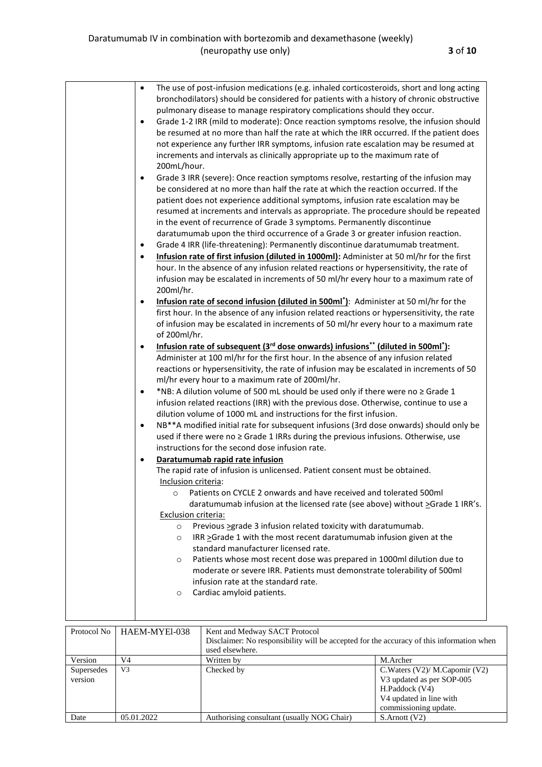|             |                                                                                       | $\bullet$           | The use of post-infusion medications (e.g. inhaled corticosteroids, short and long acting                |                                                  |  |  |  |
|-------------|---------------------------------------------------------------------------------------|---------------------|----------------------------------------------------------------------------------------------------------|--------------------------------------------------|--|--|--|
|             |                                                                                       |                     | bronchodilators) should be considered for patients with a history of chronic obstructive                 |                                                  |  |  |  |
|             |                                                                                       |                     | pulmonary disease to manage respiratory complications should they occur.                                 |                                                  |  |  |  |
|             |                                                                                       | $\bullet$           | Grade 1-2 IRR (mild to moderate): Once reaction symptoms resolve, the infusion should                    |                                                  |  |  |  |
|             |                                                                                       |                     | be resumed at no more than half the rate at which the IRR occurred. If the patient does                  |                                                  |  |  |  |
|             |                                                                                       |                     | not experience any further IRR symptoms, infusion rate escalation may be resumed at                      |                                                  |  |  |  |
|             |                                                                                       |                     | increments and intervals as clinically appropriate up to the maximum rate of                             |                                                  |  |  |  |
|             |                                                                                       | 200mL/hour.         |                                                                                                          |                                                  |  |  |  |
|             |                                                                                       | $\bullet$           | Grade 3 IRR (severe): Once reaction symptoms resolve, restarting of the infusion may                     |                                                  |  |  |  |
|             |                                                                                       |                     | be considered at no more than half the rate at which the reaction occurred. If the                       |                                                  |  |  |  |
|             |                                                                                       |                     | patient does not experience additional symptoms, infusion rate escalation may be                         |                                                  |  |  |  |
|             |                                                                                       |                     | resumed at increments and intervals as appropriate. The procedure should be repeated                     |                                                  |  |  |  |
|             |                                                                                       |                     | in the event of recurrence of Grade 3 symptoms. Permanently discontinue                                  |                                                  |  |  |  |
|             |                                                                                       |                     | daratumumab upon the third occurrence of a Grade 3 or greater infusion reaction.                         |                                                  |  |  |  |
|             |                                                                                       | $\bullet$           | Grade 4 IRR (life-threatening): Permanently discontinue daratumumab treatment.                           |                                                  |  |  |  |
|             |                                                                                       | $\bullet$           | Infusion rate of first infusion (diluted in 1000ml): Administer at 50 ml/hr for the first                |                                                  |  |  |  |
|             |                                                                                       |                     |                                                                                                          |                                                  |  |  |  |
|             |                                                                                       |                     | hour. In the absence of any infusion related reactions or hypersensitivity, the rate of                  |                                                  |  |  |  |
|             |                                                                                       |                     | infusion may be escalated in increments of 50 ml/hr every hour to a maximum rate of                      |                                                  |  |  |  |
|             |                                                                                       | 200ml/hr.           |                                                                                                          |                                                  |  |  |  |
|             |                                                                                       | $\bullet$           | Infusion rate of second infusion (diluted in 500ml <sup>*</sup> ): Administer at 50 ml/hr for the        |                                                  |  |  |  |
|             |                                                                                       |                     | first hour. In the absence of any infusion related reactions or hypersensitivity, the rate               |                                                  |  |  |  |
|             |                                                                                       |                     | of infusion may be escalated in increments of 50 ml/hr every hour to a maximum rate                      |                                                  |  |  |  |
|             |                                                                                       | of 200ml/hr.        |                                                                                                          |                                                  |  |  |  |
|             |                                                                                       | $\bullet$           | Infusion rate of subsequent (3 <sup>rd</sup> dose onwards) infusions** (diluted in 500ml <sup>*</sup> ): |                                                  |  |  |  |
|             |                                                                                       |                     | Administer at 100 ml/hr for the first hour. In the absence of any infusion related                       |                                                  |  |  |  |
|             |                                                                                       |                     | reactions or hypersensitivity, the rate of infusion may be escalated in increments of 50                 |                                                  |  |  |  |
|             |                                                                                       |                     | ml/hr every hour to a maximum rate of 200ml/hr.                                                          |                                                  |  |  |  |
|             |                                                                                       | $\bullet$           | *NB: A dilution volume of 500 mL should be used only if there were no ≥ Grade 1                          |                                                  |  |  |  |
|             | infusion related reactions (IRR) with the previous dose. Otherwise, continue to use a |                     |                                                                                                          |                                                  |  |  |  |
|             | dilution volume of 1000 mL and instructions for the first infusion.                   |                     |                                                                                                          |                                                  |  |  |  |
|             |                                                                                       | $\bullet$           | NB <sup>**</sup> A modified initial rate for subsequent infusions (3rd dose onwards) should only be      |                                                  |  |  |  |
|             |                                                                                       |                     | used if there were no ≥ Grade 1 IRRs during the previous infusions. Otherwise, use                       |                                                  |  |  |  |
|             |                                                                                       |                     | instructions for the second dose infusion rate.                                                          |                                                  |  |  |  |
|             |                                                                                       | $\bullet$           | Daratumumab rapid rate infusion                                                                          |                                                  |  |  |  |
|             |                                                                                       |                     | The rapid rate of infusion is unlicensed. Patient consent must be obtained.                              |                                                  |  |  |  |
|             |                                                                                       | Inclusion criteria: |                                                                                                          |                                                  |  |  |  |
|             |                                                                                       | $\circ$             | Patients on CYCLE 2 onwards and have received and tolerated 500ml                                        |                                                  |  |  |  |
|             |                                                                                       |                     | daratumumab infusion at the licensed rate (see above) without >Grade 1 IRR's.                            |                                                  |  |  |  |
|             |                                                                                       | Exclusion criteria: |                                                                                                          |                                                  |  |  |  |
|             |                                                                                       | $\circ$             | Previous >grade 3 infusion related toxicity with daratumumab.                                            |                                                  |  |  |  |
|             |                                                                                       | $\circ$             | IRR >Grade 1 with the most recent daratumumab infusion given at the                                      |                                                  |  |  |  |
|             |                                                                                       |                     | standard manufacturer licensed rate.                                                                     |                                                  |  |  |  |
|             |                                                                                       | $\circ$             | Patients whose most recent dose was prepared in 1000ml dilution due to                                   |                                                  |  |  |  |
|             |                                                                                       |                     | moderate or severe IRR. Patients must demonstrate tolerability of 500ml                                  |                                                  |  |  |  |
|             |                                                                                       |                     | infusion rate at the standard rate.                                                                      |                                                  |  |  |  |
|             |                                                                                       | $\circ$             | Cardiac amyloid patients.                                                                                |                                                  |  |  |  |
|             |                                                                                       |                     |                                                                                                          |                                                  |  |  |  |
|             |                                                                                       |                     |                                                                                                          |                                                  |  |  |  |
| Protocol No |                                                                                       |                     | Kent and Medway SACT Protocol                                                                            |                                                  |  |  |  |
|             |                                                                                       | HAEM-MYEl-038       | Disclaimer: No responsibility will be accepted for the accuracy of this information when                 |                                                  |  |  |  |
|             |                                                                                       |                     | used elsewhere.                                                                                          |                                                  |  |  |  |
| Version     | V <sub>4</sub>                                                                        |                     | Written by                                                                                               | M.Archer                                         |  |  |  |
| Supersedes  | V <sub>3</sub>                                                                        |                     | Checked by                                                                                               | C. Waters (V2)/ M. Capomir (V2)                  |  |  |  |
| version     |                                                                                       |                     |                                                                                                          | V3 updated as per SOP-005                        |  |  |  |
|             |                                                                                       |                     |                                                                                                          | H.Paddock (V4)                                   |  |  |  |
|             |                                                                                       |                     |                                                                                                          | V4 updated in line with<br>commissioning update. |  |  |  |
| Date        |                                                                                       | 05.01.2022          | Authorising consultant (usually NOG Chair)                                                               | S.Arnott (V2)                                    |  |  |  |
|             |                                                                                       |                     |                                                                                                          |                                                  |  |  |  |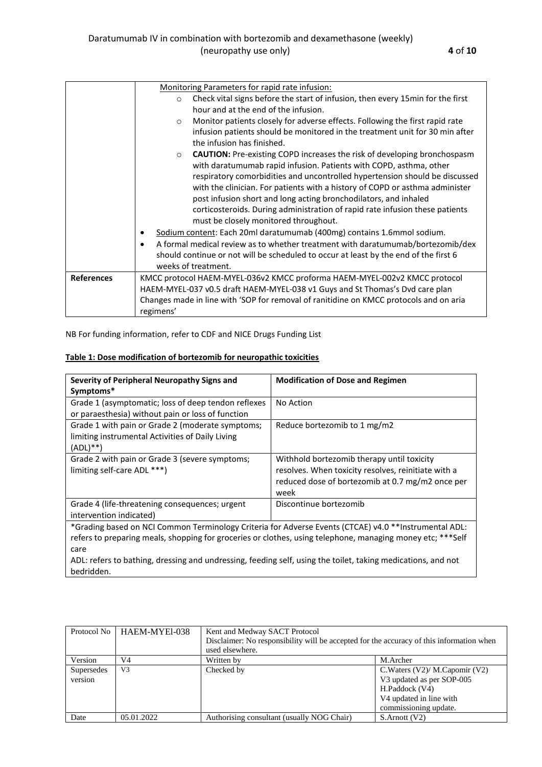|                   | Monitoring Parameters for rapid rate infusion:                                             |  |  |  |  |  |  |
|-------------------|--------------------------------------------------------------------------------------------|--|--|--|--|--|--|
|                   | Check vital signs before the start of infusion, then every 15min for the first<br>$\circ$  |  |  |  |  |  |  |
|                   | hour and at the end of the infusion.                                                       |  |  |  |  |  |  |
|                   | Monitor patients closely for adverse effects. Following the first rapid rate<br>$\circ$    |  |  |  |  |  |  |
|                   | infusion patients should be monitored in the treatment unit for 30 min after               |  |  |  |  |  |  |
|                   | the infusion has finished.                                                                 |  |  |  |  |  |  |
|                   | <b>CAUTION:</b> Pre-existing COPD increases the risk of developing bronchospasm<br>$\circ$ |  |  |  |  |  |  |
|                   | with daratumumab rapid infusion. Patients with COPD, asthma, other                         |  |  |  |  |  |  |
|                   | respiratory comorbidities and uncontrolled hypertension should be discussed                |  |  |  |  |  |  |
|                   | with the clinician. For patients with a history of COPD or asthma administer               |  |  |  |  |  |  |
|                   | post infusion short and long acting bronchodilators, and inhaled                           |  |  |  |  |  |  |
|                   | corticosteroids. During administration of rapid rate infusion these patients               |  |  |  |  |  |  |
|                   | must be closely monitored throughout.                                                      |  |  |  |  |  |  |
|                   | Sodium content: Each 20ml daratumumab (400mg) contains 1.6mmol sodium.                     |  |  |  |  |  |  |
|                   | A formal medical review as to whether treatment with daratumumab/bortezomib/dex            |  |  |  |  |  |  |
|                   | should continue or not will be scheduled to occur at least by the end of the first 6       |  |  |  |  |  |  |
|                   | weeks of treatment.                                                                        |  |  |  |  |  |  |
| <b>References</b> | KMCC protocol HAEM-MYEL-036v2 KMCC proforma HAEM-MYEL-002v2 KMCC protocol                  |  |  |  |  |  |  |
|                   | HAEM-MYEL-037 v0.5 draft HAEM-MYEL-038 v1 Guys and St Thomas's Dvd care plan               |  |  |  |  |  |  |
|                   | Changes made in line with 'SOP for removal of ranitidine on KMCC protocols and on aria     |  |  |  |  |  |  |
|                   | regimens'                                                                                  |  |  |  |  |  |  |

NB For funding information, refer to CDF and NICE Drugs Funding List

|  | Table 1: Dose modification of bortezomib for neuropathic toxicities |  |  |
|--|---------------------------------------------------------------------|--|--|
|--|---------------------------------------------------------------------|--|--|

| Severity of Peripheral Neuropathy Signs and                                                                                                                                                                                                                                                                                                               | <b>Modification of Dose and Regimen</b>                                                                                                                       |  |  |  |
|-----------------------------------------------------------------------------------------------------------------------------------------------------------------------------------------------------------------------------------------------------------------------------------------------------------------------------------------------------------|---------------------------------------------------------------------------------------------------------------------------------------------------------------|--|--|--|
| Symptoms*<br>Grade 1 (asymptomatic; loss of deep tendon reflexes<br>or paraesthesia) without pain or loss of function                                                                                                                                                                                                                                     | No Action                                                                                                                                                     |  |  |  |
| Grade 1 with pain or Grade 2 (moderate symptoms;<br>limiting instrumental Activities of Daily Living<br>$(ADL)$ **)                                                                                                                                                                                                                                       | Reduce bortezomib to 1 mg/m2                                                                                                                                  |  |  |  |
| Grade 2 with pain or Grade 3 (severe symptoms;<br>limiting self-care ADL ***)                                                                                                                                                                                                                                                                             | Withhold bortezomib therapy until toxicity<br>resolves. When toxicity resolves, reinitiate with a<br>reduced dose of bortezomib at 0.7 mg/m2 once per<br>week |  |  |  |
| Grade 4 (life-threatening consequences; urgent<br>intervention indicated)                                                                                                                                                                                                                                                                                 | Discontinue bortezomib                                                                                                                                        |  |  |  |
| *Grading based on NCI Common Terminology Criteria for Adverse Events (CTCAE) v4.0 **Instrumental ADL:<br>refers to preparing meals, shopping for groceries or clothes, using telephone, managing money etc; ***Self<br>care<br>ADL: refers to bathing, dressing and undressing, feeding self, using the toilet, taking medications, and not<br>bedridden. |                                                                                                                                                               |  |  |  |

| Protocol No | HAEM-MYEI-038  | Kent and Medway SACT Protocol                                                            |                                     |  |  |
|-------------|----------------|------------------------------------------------------------------------------------------|-------------------------------------|--|--|
|             |                | Disclaimer: No responsibility will be accepted for the accuracy of this information when |                                     |  |  |
|             |                | used elsewhere.                                                                          |                                     |  |  |
| Version     | V4             | Written by                                                                               | M.Archer                            |  |  |
| Supersedes  | V <sub>3</sub> | Checked by                                                                               | C. Waters $(V2)/M$ . Capomir $(V2)$ |  |  |
| version     |                |                                                                                          | V3 updated as per SOP-005           |  |  |
|             |                |                                                                                          | H.Paddock (V4)                      |  |  |
|             |                |                                                                                          | V4 updated in line with             |  |  |
|             |                |                                                                                          | commissioning update.               |  |  |
| Date        | 05.01.2022     | Authorising consultant (usually NOG Chair)                                               | S.Arnott (V2)                       |  |  |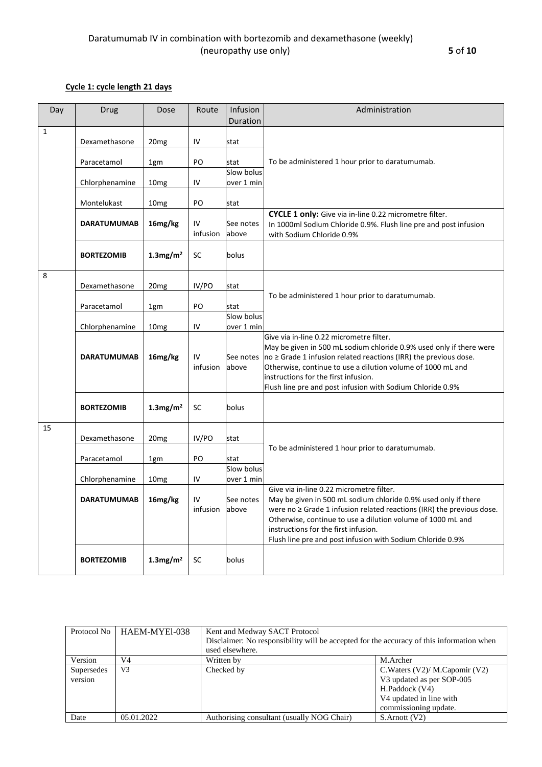## **Cycle 1: cycle length 21 days**

| Day          | Drug               | Dose                    | Route          | Infusion<br>Duration     | Administration                                                                                                                                                                                                                                                                                                    |  |
|--------------|--------------------|-------------------------|----------------|--------------------------|-------------------------------------------------------------------------------------------------------------------------------------------------------------------------------------------------------------------------------------------------------------------------------------------------------------------|--|
| $\mathbf{1}$ |                    |                         |                |                          |                                                                                                                                                                                                                                                                                                                   |  |
|              | Dexamethasone      | 20mg                    | IV             | stat                     |                                                                                                                                                                                                                                                                                                                   |  |
|              | Paracetamol        | 1gm                     | PO             | stat                     | To be administered 1 hour prior to daratumumab.                                                                                                                                                                                                                                                                   |  |
|              |                    |                         |                | Slow bolus               |                                                                                                                                                                                                                                                                                                                   |  |
|              | Chlorphenamine     | 10 <sub>mg</sub>        | IV             | over 1 min               |                                                                                                                                                                                                                                                                                                                   |  |
|              | Montelukast        | 10 <sub>mg</sub>        | PO             | stat                     |                                                                                                                                                                                                                                                                                                                   |  |
|              | <b>DARATUMUMAB</b> | 16mg/kg                 | IV<br>infusion | See notes<br>above       | CYCLE 1 only: Give via in-line 0.22 micrometre filter.<br>In 1000ml Sodium Chloride 0.9%. Flush line pre and post infusion<br>with Sodium Chloride 0.9%                                                                                                                                                           |  |
|              | <b>BORTEZOMIB</b>  | $1.3$ mg/m <sup>2</sup> | <b>SC</b>      | bolus                    |                                                                                                                                                                                                                                                                                                                   |  |
| 8            | Dexamethasone      | 20 <sub>mg</sub>        | IV/PO          | stat                     |                                                                                                                                                                                                                                                                                                                   |  |
|              | Paracetamol        | 1gm                     | PO             | stat                     | To be administered 1 hour prior to daratumumab.                                                                                                                                                                                                                                                                   |  |
|              |                    |                         |                | Slow bolus               |                                                                                                                                                                                                                                                                                                                   |  |
|              | Chlorphenamine     | 10 <sub>mg</sub>        | IV             | over 1 min               | Give via in-line 0.22 micrometre filter.                                                                                                                                                                                                                                                                          |  |
|              | <b>DARATUMUMAB</b> | 16mg/kg                 | IV<br>infusion | See notes<br>above       | May be given in 500 mL sodium chloride 0.9% used only if there were<br>$no \geq$ Grade 1 infusion related reactions (IRR) the previous dose.<br>Otherwise, continue to use a dilution volume of 1000 mL and<br>instructions for the first infusion.<br>Flush line pre and post infusion with Sodium Chloride 0.9% |  |
|              | <b>BORTEZOMIB</b>  | $1.3$ mg/m <sup>2</sup> | SC             | bolus                    |                                                                                                                                                                                                                                                                                                                   |  |
| 15           |                    |                         |                |                          |                                                                                                                                                                                                                                                                                                                   |  |
|              | Dexamethasone      | 20 <sub>mg</sub>        | IV/PO          | stat                     | To be administered 1 hour prior to daratumumab.                                                                                                                                                                                                                                                                   |  |
|              | Paracetamol        | 1gm                     | PO             | stat                     |                                                                                                                                                                                                                                                                                                                   |  |
|              | Chlorphenamine     | 10 <sub>mg</sub>        | IV             | Slow bolus<br>over 1 min |                                                                                                                                                                                                                                                                                                                   |  |
|              | <b>DARATUMUMAB</b> | 16mg/kg                 | IV             | See notes                | Give via in-line 0.22 micrometre filter.<br>May be given in 500 mL sodium chloride 0.9% used only if there                                                                                                                                                                                                        |  |
|              |                    |                         | infusion       | labove                   | were no $\geq$ Grade 1 infusion related reactions (IRR) the previous dose.<br>Otherwise, continue to use a dilution volume of 1000 mL and<br>instructions for the first infusion.<br>Flush line pre and post infusion with Sodium Chloride 0.9%                                                                   |  |
|              | <b>BORTEZOMIB</b>  | $1.3$ mg/m <sup>2</sup> | SC             | bolus                    |                                                                                                                                                                                                                                                                                                                   |  |

| Protocol No | HAEM-MYEI-038  | Kent and Medway SACT Protocol                                                            |                                     |  |  |
|-------------|----------------|------------------------------------------------------------------------------------------|-------------------------------------|--|--|
|             |                | Disclaimer: No responsibility will be accepted for the accuracy of this information when |                                     |  |  |
|             |                | used elsewhere.                                                                          |                                     |  |  |
| Version     | V4             | Written by                                                                               | M.Archer                            |  |  |
| Supersedes  | V <sub>3</sub> | Checked by                                                                               | C. Waters $(V2)/M$ . Capomir $(V2)$ |  |  |
| version     |                |                                                                                          | V3 updated as per SOP-005           |  |  |
|             |                |                                                                                          | H.Paddock (V4)                      |  |  |
|             |                |                                                                                          | V4 updated in line with             |  |  |
|             |                |                                                                                          | commissioning update.               |  |  |
| Date        | 05.01.2022     | Authorising consultant (usually NOG Chair)                                               | $S$ . Arnott $(V2)$                 |  |  |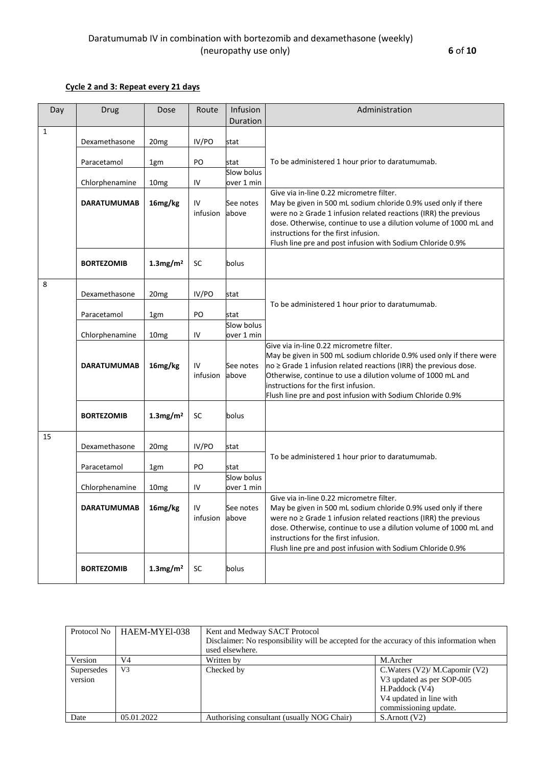### **Cycle 2 and 3: Repeat every 21 days**

| Day          | Drug               | Dose                    | Route          | Infusion<br>Duration | Administration                                                                                                                                                                                                                                                                                                                                                |  |
|--------------|--------------------|-------------------------|----------------|----------------------|---------------------------------------------------------------------------------------------------------------------------------------------------------------------------------------------------------------------------------------------------------------------------------------------------------------------------------------------------------------|--|
| $\mathbf{1}$ |                    |                         |                |                      |                                                                                                                                                                                                                                                                                                                                                               |  |
|              | Dexamethasone      | 20 <sub>mg</sub>        | IV/PO          | stat                 |                                                                                                                                                                                                                                                                                                                                                               |  |
|              |                    |                         |                |                      |                                                                                                                                                                                                                                                                                                                                                               |  |
|              | Paracetamol        | 1gm                     | PO             | stat                 | To be administered 1 hour prior to daratumumab.                                                                                                                                                                                                                                                                                                               |  |
|              |                    |                         |                | Slow bolus           |                                                                                                                                                                                                                                                                                                                                                               |  |
|              | Chlorphenamine     | 10 <sub>mg</sub>        | IV             | over 1 min           |                                                                                                                                                                                                                                                                                                                                                               |  |
|              | <b>DARATUMUMAB</b> | 16mg/kg                 | IV<br>infusion | See notes<br>above   | Give via in-line 0.22 micrometre filter.<br>May be given in 500 mL sodium chloride 0.9% used only if there<br>were no $\geq$ Grade 1 infusion related reactions (IRR) the previous<br>dose. Otherwise, continue to use a dilution volume of 1000 mL and<br>instructions for the first infusion.<br>Flush line pre and post infusion with Sodium Chloride 0.9% |  |
|              | <b>BORTEZOMIB</b>  | $1.3$ mg/m <sup>2</sup> | <b>SC</b>      | bolus                |                                                                                                                                                                                                                                                                                                                                                               |  |
| 8            |                    |                         |                |                      |                                                                                                                                                                                                                                                                                                                                                               |  |
|              | Dexamethasone      | 20 <sub>mg</sub>        | IV/PO          | stat                 |                                                                                                                                                                                                                                                                                                                                                               |  |
|              |                    |                         |                |                      | To be administered 1 hour prior to daratumumab.                                                                                                                                                                                                                                                                                                               |  |
|              | Paracetamol        | 1gm                     | PO             | stat<br>Slow bolus   |                                                                                                                                                                                                                                                                                                                                                               |  |
|              | Chlorphenamine     | 10 <sub>mg</sub>        | IV             | over 1 min           |                                                                                                                                                                                                                                                                                                                                                               |  |
|              | <b>DARATUMUMAB</b> | 16mg/kg                 | IV<br>infusion | See notes<br>above   | Give via in-line 0.22 micrometre filter.<br>May be given in 500 mL sodium chloride 0.9% used only if there were<br>$no \geq$ Grade 1 infusion related reactions (IRR) the previous dose.<br>Otherwise, continue to use a dilution volume of 1000 mL and<br>instructions for the first infusion.<br>Flush line pre and post infusion with Sodium Chloride 0.9% |  |
|              | <b>BORTEZOMIB</b>  | $1.3$ mg/m <sup>2</sup> | <b>SC</b>      | bolus                |                                                                                                                                                                                                                                                                                                                                                               |  |
| 15           |                    |                         |                |                      |                                                                                                                                                                                                                                                                                                                                                               |  |
|              | Dexamethasone      | 20 <sub>mg</sub>        | IV/PO          | stat                 |                                                                                                                                                                                                                                                                                                                                                               |  |
|              | Paracetamol        |                         | PO             | stat                 | To be administered 1 hour prior to daratumumab.                                                                                                                                                                                                                                                                                                               |  |
|              |                    | 1gm                     |                | Slow bolus           |                                                                                                                                                                                                                                                                                                                                                               |  |
|              | Chlorphenamine     | 10 <sub>mg</sub>        | IV             | over 1 min           |                                                                                                                                                                                                                                                                                                                                                               |  |
|              | DARATUMUMAB        | 16mg/kg                 | IV<br>infusion | See notes<br>above   | Give via in-line 0.22 micrometre filter.<br>May be given in 500 mL sodium chloride 0.9% used only if there<br>were no $\geq$ Grade 1 infusion related reactions (IRR) the previous<br>dose. Otherwise, continue to use a dilution volume of 1000 mL and<br>instructions for the first infusion.<br>Flush line pre and post infusion with Sodium Chloride 0.9% |  |
|              | <b>BORTEZOMIB</b>  | $1.3$ mg/m <sup>2</sup> | SC             | bolus                |                                                                                                                                                                                                                                                                                                                                                               |  |

| Protocol No | HAEM-MYEI-038  | Kent and Medway SACT Protocol                                                            |                                 |  |  |  |
|-------------|----------------|------------------------------------------------------------------------------------------|---------------------------------|--|--|--|
|             |                | Disclaimer: No responsibility will be accepted for the accuracy of this information when |                                 |  |  |  |
|             |                | used elsewhere.                                                                          |                                 |  |  |  |
| Version     | V4             | Written by                                                                               | M.Archer                        |  |  |  |
| Supersedes  | V <sub>3</sub> | Checked by                                                                               | C. Waters (V2)/ M. Capomir (V2) |  |  |  |
| version     |                |                                                                                          | V3 updated as per SOP-005       |  |  |  |
|             |                |                                                                                          | H.Paddock (V4)                  |  |  |  |
|             |                |                                                                                          | V4 updated in line with         |  |  |  |
|             |                |                                                                                          | commissioning update.           |  |  |  |
| Date        | 05.01.2022     | Authorising consultant (usually NOG Chair)                                               | $S$ . Arnott $(V2)$             |  |  |  |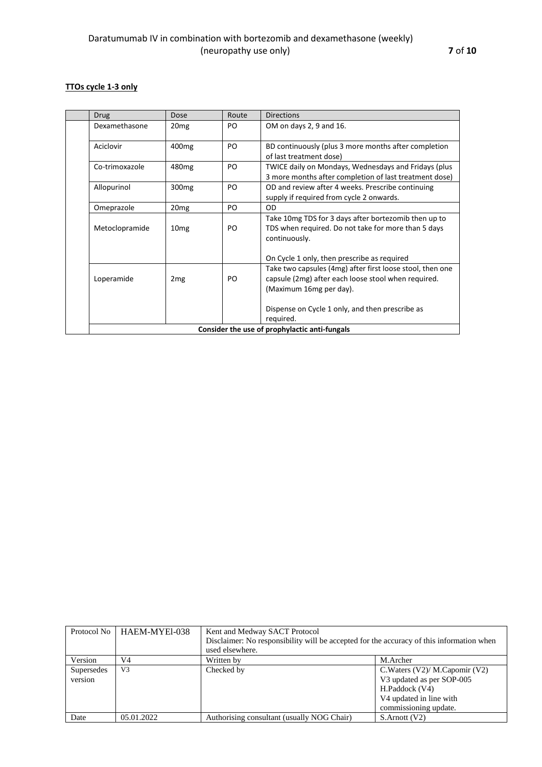## **TTOs cycle 1-3 only**

| <b>Drug</b>                                   | Dose              | Route | Directions                                                                                                                                  |  |  |  |
|-----------------------------------------------|-------------------|-------|---------------------------------------------------------------------------------------------------------------------------------------------|--|--|--|
| Dexamethasone                                 | 20 <sub>mg</sub>  | PO.   | OM on days 2, 9 and 16.                                                                                                                     |  |  |  |
| Aciclovir                                     | 400 <sub>mg</sub> | PO    | BD continuously (plus 3 more months after completion<br>of last treatment dose)                                                             |  |  |  |
| Co-trimoxazole                                | 480 <sub>mg</sub> | PO.   | TWICE daily on Mondays, Wednesdays and Fridays (plus<br>3 more months after completion of last treatment dose)                              |  |  |  |
| Allopurinol                                   | 300 <sub>mg</sub> | PO.   | OD and review after 4 weeks. Prescribe continuing<br>supply if required from cycle 2 onwards.                                               |  |  |  |
| Omeprazole                                    | 20 <sub>mg</sub>  | PO    | <b>OD</b>                                                                                                                                   |  |  |  |
| Metoclopramide                                | 10 <sub>mg</sub>  | PO.   | Take 10mg TDS for 3 days after bortezomib then up to<br>TDS when required. Do not take for more than 5 days<br>continuously.                |  |  |  |
|                                               |                   |       | On Cycle 1 only, then prescribe as required                                                                                                 |  |  |  |
| Loperamide                                    | 2 <sub>mg</sub>   | PO.   | Take two capsules (4mg) after first loose stool, then one<br>capsule (2mg) after each loose stool when required.<br>(Maximum 16mg per day). |  |  |  |
|                                               |                   |       | Dispense on Cycle 1 only, and then prescribe as<br>required.                                                                                |  |  |  |
| Consider the use of prophylactic anti-fungals |                   |       |                                                                                                                                             |  |  |  |

| Protocol No           | HAEM-MYEI-038  | Kent and Medway SACT Protocol<br>Disclaimer: No responsibility will be accepted for the accuracy of this information when<br>used elsewhere. |                                                                                                                                    |  |  |
|-----------------------|----------------|----------------------------------------------------------------------------------------------------------------------------------------------|------------------------------------------------------------------------------------------------------------------------------------|--|--|
| Version               | V4             | Written by                                                                                                                                   | M.Archer                                                                                                                           |  |  |
| Supersedes<br>version | V <sub>3</sub> | Checked by                                                                                                                                   | C. Waters (V2)/ M. Capomir (V2)<br>V3 updated as per SOP-005<br>H.Paddock (V4)<br>V4 updated in line with<br>commissioning update. |  |  |
| Date                  | 05.01.2022     | Authorising consultant (usually NOG Chair)                                                                                                   | S.Arnott (V2)                                                                                                                      |  |  |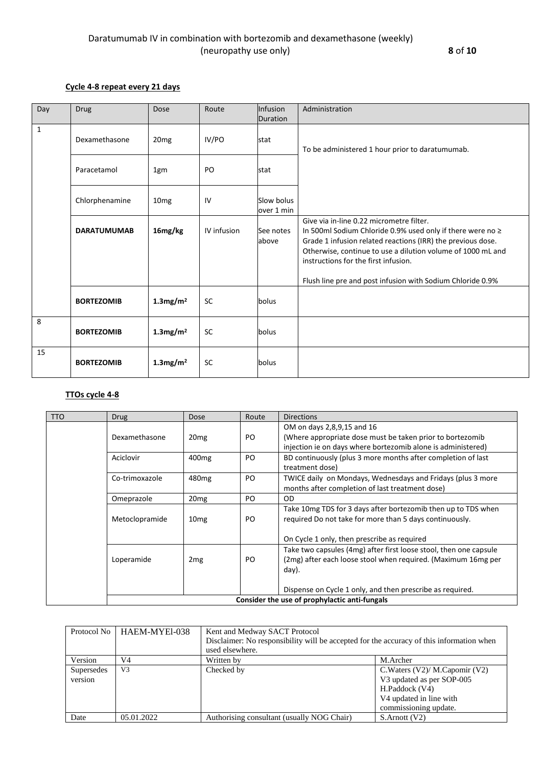### **Cycle 4-8 repeat every 21 days**

| Day          | <b>Drug</b>        | Dose                    | Route       | Infusion                 | Administration                                                                                                                                                                                                                                                               |
|--------------|--------------------|-------------------------|-------------|--------------------------|------------------------------------------------------------------------------------------------------------------------------------------------------------------------------------------------------------------------------------------------------------------------------|
|              |                    |                         |             | Duration                 |                                                                                                                                                                                                                                                                              |
| $\mathbf{1}$ | Dexamethasone      | 20 <sub>mg</sub>        | IV/PO       | stat                     | To be administered 1 hour prior to daratumumab.                                                                                                                                                                                                                              |
|              | Paracetamol        | 1gm                     | PO          | stat                     |                                                                                                                                                                                                                                                                              |
|              | Chlorphenamine     | 10 <sub>mg</sub>        | IV          | Slow bolus<br>over 1 min |                                                                                                                                                                                                                                                                              |
|              | <b>DARATUMUMAB</b> | 16mg/kg                 | IV infusion | See notes<br>above       | Give via in-line 0.22 micrometre filter.<br>In 500ml Sodium Chloride 0.9% used only if there were no ≥<br>Grade 1 infusion related reactions (IRR) the previous dose.<br>Otherwise, continue to use a dilution volume of 1000 mL and<br>instructions for the first infusion. |
|              |                    |                         |             |                          | Flush line pre and post infusion with Sodium Chloride 0.9%                                                                                                                                                                                                                   |
|              | <b>BORTEZOMIB</b>  | $1.3$ mg/m <sup>2</sup> | <b>SC</b>   | bolus                    |                                                                                                                                                                                                                                                                              |
| 8            | <b>BORTEZOMIB</b>  | $1.3$ mg/m <sup>2</sup> | <b>SC</b>   | bolus                    |                                                                                                                                                                                                                                                                              |
| 15           | <b>BORTEZOMIB</b>  | $1.3$ mg/m <sup>2</sup> | <b>SC</b>   | bolus                    |                                                                                                                                                                                                                                                                              |

# **TTOs cycle 4-8**

| <b>TTO</b> | <b>Drug</b>    | <b>Dose</b>       | Route | <b>Directions</b>                                                 |
|------------|----------------|-------------------|-------|-------------------------------------------------------------------|
|            |                |                   |       | OM on days 2,8,9,15 and 16                                        |
|            | Dexamethasone  | 20 <sub>mg</sub>  | PO.   | (Where appropriate dose must be taken prior to bortezomib         |
|            |                |                   |       | injection ie on days where bortezomib alone is administered)      |
|            | Aciclovir      | 400 <sub>mg</sub> | PO.   | BD continuously (plus 3 more months after completion of last      |
|            |                |                   |       | treatment dose)                                                   |
|            | Co-trimoxazole | 480 <sub>mg</sub> | PO.   | TWICE daily on Mondays, Wednesdays and Fridays (plus 3 more       |
|            |                |                   |       | months after completion of last treatment dose)                   |
|            | Omeprazole     | 20 <sub>mg</sub>  | PO.   | OD.                                                               |
|            |                |                   |       | Take 10mg TDS for 3 days after bortezomib then up to TDS when     |
|            | Metoclopramide | 10 <sub>mg</sub>  | PO.   | required Do not take for more than 5 days continuously.           |
|            |                |                   |       |                                                                   |
|            |                |                   |       | On Cycle 1 only, then prescribe as required                       |
|            |                |                   |       | Take two capsules (4mg) after first loose stool, then one capsule |
|            | Loperamide     | 2 <sub>mg</sub>   | PO    | (2mg) after each loose stool when required. (Maximum 16mg per     |
|            |                |                   |       | day).                                                             |
|            |                |                   |       |                                                                   |
|            |                |                   |       | Dispense on Cycle 1 only, and then prescribe as required.         |
|            |                |                   |       | Consider the use of prophylactic anti-fungals                     |

| Protocol No           | HAEM-MYEI-038  | Kent and Medway SACT Protocol<br>Disclaimer: No responsibility will be accepted for the accuracy of this information when<br>used elsewhere. |                                                                                                                                        |  |  |
|-----------------------|----------------|----------------------------------------------------------------------------------------------------------------------------------------------|----------------------------------------------------------------------------------------------------------------------------------------|--|--|
| Version               | V <sub>4</sub> | Written by                                                                                                                                   | M.Archer                                                                                                                               |  |  |
| Supersedes<br>version | V <sub>3</sub> | Checked by                                                                                                                                   | C. Waters $(V2)/M$ . Capomir $(V2)$<br>V3 updated as per SOP-005<br>H.Paddock (V4)<br>V4 updated in line with<br>commissioning update. |  |  |
| Date                  | 05.01.2022     | Authorising consultant (usually NOG Chair)                                                                                                   | S.Arnott (V2)                                                                                                                          |  |  |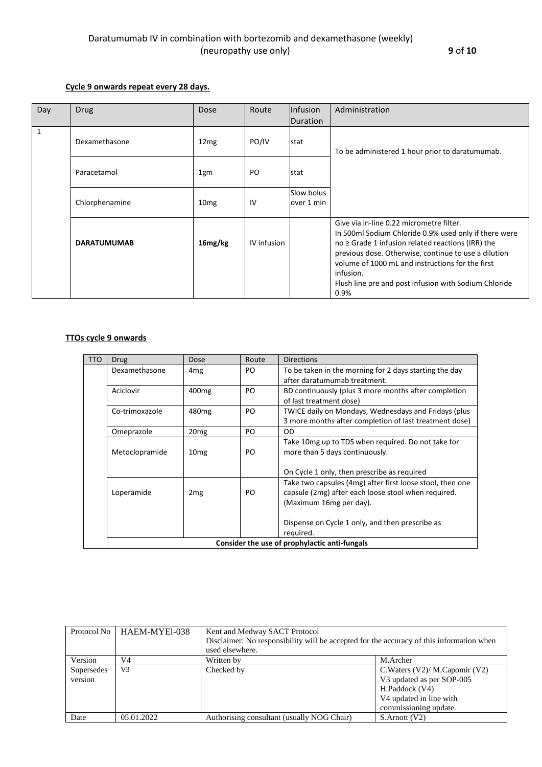### **Cycle 9 onwards repeat every 28 days.**

| Day          | Drug               | Dose             | Route       | Infusion   | Administration                                                                                                                                                                                                                                                                                                                                        |
|--------------|--------------------|------------------|-------------|------------|-------------------------------------------------------------------------------------------------------------------------------------------------------------------------------------------------------------------------------------------------------------------------------------------------------------------------------------------------------|
|              |                    |                  |             | Duration   |                                                                                                                                                                                                                                                                                                                                                       |
|              |                    |                  |             |            |                                                                                                                                                                                                                                                                                                                                                       |
| $\mathbf{1}$ | Dexamethasone      | 12mg             | PO/IV       | stat       | To be administered 1 hour prior to daratumumab.                                                                                                                                                                                                                                                                                                       |
|              | Paracetamol        | 1gm              | PO          | stat       |                                                                                                                                                                                                                                                                                                                                                       |
|              |                    |                  |             | Slow bolus |                                                                                                                                                                                                                                                                                                                                                       |
|              | Chlorphenamine     | 10 <sub>mg</sub> | IV          | over 1 min |                                                                                                                                                                                                                                                                                                                                                       |
|              | <b>DARATUMUMAB</b> | 16mg/kg          | IV infusion |            | Give via in-line 0.22 micrometre filter.<br>In 500ml Sodium Chloride 0.9% used only if there were<br>$no \geq$ Grade 1 infusion related reactions (IRR) the<br>previous dose. Otherwise, continue to use a dilution<br>volume of 1000 mL and instructions for the first<br>infusion.<br>Flush line pre and post infusion with Sodium Chloride<br>0.9% |

### **TTOs cycle 9 onwards**

| <b>TTO</b> | <b>Drug</b>                                   | Dose              | Route | <b>Directions</b>                                                                                                                           |  |  |  |
|------------|-----------------------------------------------|-------------------|-------|---------------------------------------------------------------------------------------------------------------------------------------------|--|--|--|
|            | Dexamethasone                                 | 4 <sub>mg</sub>   | PO    | To be taken in the morning for 2 days starting the day<br>after daratumumab treatment.                                                      |  |  |  |
|            | Aciclovir                                     | 400 <sub>mg</sub> | PO.   | BD continuously (plus 3 more months after completion<br>of last treatment dose)                                                             |  |  |  |
|            | Co-trimoxazole                                | 480 <sub>mg</sub> | PO    | TWICE daily on Mondays, Wednesdays and Fridays (plus<br>3 more months after completion of last treatment dose)                              |  |  |  |
|            | Omeprazole                                    | 20 <sub>mg</sub>  | PO    | <b>OD</b>                                                                                                                                   |  |  |  |
|            | Metoclopramide                                | 10 <sub>mg</sub>  | PO    | Take 10 mg up to TDS when required. Do not take for<br>more than 5 days continuously.                                                       |  |  |  |
|            |                                               |                   |       | On Cycle 1 only, then prescribe as required                                                                                                 |  |  |  |
|            | Loperamide                                    | 2 <sub>mg</sub>   | PO    | Take two capsules (4mg) after first loose stool, then one<br>capsule (2mg) after each loose stool when required.<br>(Maximum 16mg per day). |  |  |  |
|            |                                               |                   |       | Dispense on Cycle 1 only, and then prescribe as<br>required.                                                                                |  |  |  |
|            | Consider the use of prophylactic anti-fungals |                   |       |                                                                                                                                             |  |  |  |

|                       | Protocol No   HAEM-MYEl-038 | Kent and Medway SACT Protocol<br>Disclaimer: No responsibility will be accepted for the accuracy of this information when<br>used elsewhere. |                                                                                                                                                    |  |  |
|-----------------------|-----------------------------|----------------------------------------------------------------------------------------------------------------------------------------------|----------------------------------------------------------------------------------------------------------------------------------------------------|--|--|
| Version               | V4                          | Written by                                                                                                                                   | M.Archer                                                                                                                                           |  |  |
| Supersedes<br>version | V <sub>3</sub>              | Checked by                                                                                                                                   | C. Waters $(V2)/M$ . Capomir $(V2)$<br>V3 updated as per SOP-005<br>H.Paddock (V4)<br>V <sub>4</sub> updated in line with<br>commissioning update. |  |  |
| Date                  | 05.01.2022                  | Authorising consultant (usually NOG Chair)                                                                                                   | $S$ . Arnott $(V2)$                                                                                                                                |  |  |